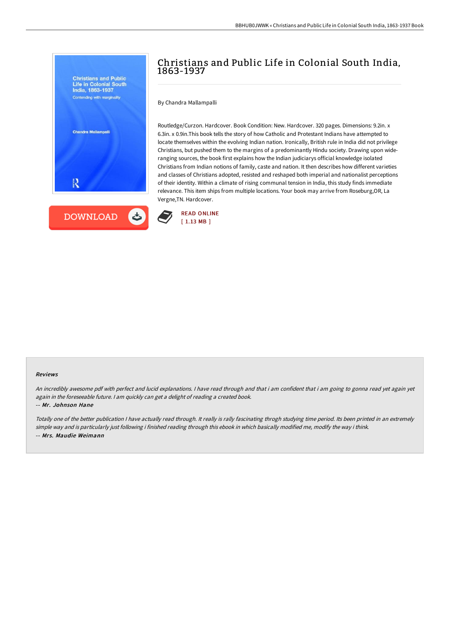Contending with marginality

Chandra Mallampalli

**DOWNLOAD** 

By Chandra Mallampalli

Routledge/Curzon. Hardcover. Book Condition: New. Hardcover. 320 pages. Dimensions: 9.2in. x 6.3in. x 0.9in.This book tells the story of how Catholic and Protestant Indians have attempted to locate themselves within the evolving Indian nation. Ironically, British rule in India did not privilege Christians, but pushed them to the margins of a predominantly Hindu society. Drawing upon wideranging sources, the book first explains how the Indian judiciarys official knowledge isolated Christians from Indian notions of family, caste and nation. It then describes how different varieties and classes of Christians adopted, resisted and reshaped both imperial and nationalist perceptions of their identity. Within a climate of rising communal tension in India, this study finds immediate relevance. This item ships from multiple locations. Your book may arrive from Roseburg,OR, La Vergne,TN. Hardcover.



## Reviews

An incredibly awesome pdf with perfect and lucid explanations. <sup>I</sup> have read through and that i am confident that i am going to gonna read yet again yet again in the foreseeable future. <sup>I</sup> am quickly can get <sup>a</sup> delight of reading <sup>a</sup> created book.

## -- Mr. Johnson Hane

Totally one of the better publication <sup>I</sup> have actually read through. It really is rally fascinating throgh studying time period. Its been printed in an extremely simple way and is particularly just following i finished reading through this ebook in which basically modified me, modify the way i think. -- Mrs. Maudie Weimann